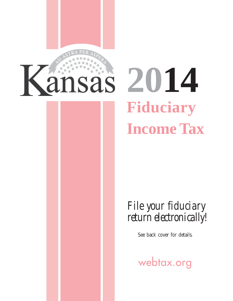

# **Fiduciary Income Tax**

*File your fiduciary return electronically!* 

See back cover for details.

webtax.org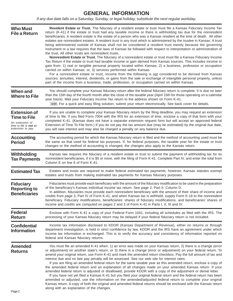## **GENERAL INFORMATION**

*If any due date falls on a Saturday, Sunday, or legal holiday, substitute the next regular workday.* 

| <b>Who Must</b><br><b>File a Return</b>                                                                             | Resident Estate or Trust. The fiduciary of a resident estate or trust must file a Kansas Fiduciary Income Tax<br>return (K-41) if the estate or trust had any taxable income or there is withholding tax due for the nonresident<br>beneficiaries. A resident estate is the estate of a person who was a Kansas resident at the time of death. All other<br>estates are nonresident estates. A resident trust is any trust which is administered by the trustee in Kansas. A trust<br>being administered outside of Kansas shall not be considered a resident trust merely because the governing<br>instrument or a law requires that the laws of Kansas be followed with respect to interpretation or administration of<br>the trust. All other trusts are nonresident trusts.<br>Nonresident Estate or Trust. The fiduciary of a nonresident estate or trust must file a Kansas Fiduciary Income<br>Tax Return if the estate or trust had taxable income or gain derived from Kansas sources. This includes income or<br>gain from: 1) real or tangible personal property located within Kansas; 2) a business, profession or occupation<br>carried on within Kansas; or, 3) services performed within Kansas.<br>For a nonresident estate or trust, income from the following is not considered to be derived from Kansas<br>sources: annuities, interest, dividends, or gains from the sale or exchange of intangible personal property, unless<br>part of the income from a business, trade, profession, or occupation carried on within Kansas. |
|---------------------------------------------------------------------------------------------------------------------|-------------------------------------------------------------------------------------------------------------------------------------------------------------------------------------------------------------------------------------------------------------------------------------------------------------------------------------------------------------------------------------------------------------------------------------------------------------------------------------------------------------------------------------------------------------------------------------------------------------------------------------------------------------------------------------------------------------------------------------------------------------------------------------------------------------------------------------------------------------------------------------------------------------------------------------------------------------------------------------------------------------------------------------------------------------------------------------------------------------------------------------------------------------------------------------------------------------------------------------------------------------------------------------------------------------------------------------------------------------------------------------------------------------------------------------------------------------------------------------------------------------------------------------------------------|
| When and<br><b>Where to File</b>                                                                                    | You should complete your Kansas fiduciary return after the federal fiduciary return is complete. It is due no later<br>than the 15th day of the fourth month after the close of the taxable year (April 15th for those operating on a calendar<br>year basis). Mail your Fiduciary Income Tax return to the address shown on Form K-41.<br>NEW For a quick and easy filing solution, submit your return electronically. See back cover for details.                                                                                                                                                                                                                                                                                                                                                                                                                                                                                                                                                                                                                                                                                                                                                                                                                                                                                                                                                                                                                                                                                                   |
| <b>Extension of</b><br><b>Time to File</b><br>An extension of<br>time to file is <b>not</b> an<br>extension to pay. | If you are unable to complete your Kansas fiduciary return by the filing deadline, you may request an extension<br>of time to file. If you filed Form 7004 with the IRS for an extension of time, enclose a copy of that form with your<br>completed K-41. (Kansas does not have a separate extension request form but will accept an approved federal<br>Extension of Time To File form.) If you do not pay the tax amount due (may be estimated) by the original due date,<br>you will owe interest and may also be charged a penalty on any balance due.                                                                                                                                                                                                                                                                                                                                                                                                                                                                                                                                                                                                                                                                                                                                                                                                                                                                                                                                                                                           |
| <b>Accounting</b><br><b>Period</b>                                                                                  | The accounting period for which the Kansas fiduciary return is filed and the method of accounting used must be<br>the same as that used for federal tax purposes. If, for federal purposes, the taxable year for the estate or trust<br>changes or the method of accounting is changed, the changes also apply to the Kansas return.                                                                                                                                                                                                                                                                                                                                                                                                                                                                                                                                                                                                                                                                                                                                                                                                                                                                                                                                                                                                                                                                                                                                                                                                                  |
| Withholding<br><b>Tax Payments</b>                                                                                  | Kansas law requires the fiduciary of a resident estate or trust to submit the payment of withholding tax for its<br>nonresident beneficiaries, if it is \$5 or more, with the filing of Form K-41. Complete Part IV, and enter the total from<br>Column E on line 6 of Form K-41.                                                                                                                                                                                                                                                                                                                                                                                                                                                                                                                                                                                                                                                                                                                                                                                                                                                                                                                                                                                                                                                                                                                                                                                                                                                                     |
| <b>Estimated Tax</b>                                                                                                | Estates and trusts are required to make federal estimated tax payments; however, Kansas statutes exempt<br>estates and trusts from making estimated tax payments for Kansas fiduciary purposes.                                                                                                                                                                                                                                                                                                                                                                                                                                                                                                                                                                                                                                                                                                                                                                                                                                                                                                                                                                                                                                                                                                                                                                                                                                                                                                                                                       |
| <b>Fiduciary</b><br><b>Reporting to</b><br><b>Beneficiaries</b>                                                     | Fiduciaries must provide each beneficiary with the amount of the fiduciary modification to be used in the preparation<br>of the beneficiary's Kansas individual income tax return. See page 2, Part II, Column D.<br>In addition, fiduciaries must provide each nonresident beneficiary with the amount of their share of income and<br>credits from page 3, Part IV of Form K-41, and when Kansas tax is withheld, supply Form K-18 to the nonresident<br>beneficiary. Fiduciary modifications, beneficiaries' shares of fiduciary modifications, and beneficiaries' shares of<br>income and credits are computed on pages 2 and 3 of Form K-41 in Parts I, II, III and IV.                                                                                                                                                                                                                                                                                                                                                                                                                                                                                                                                                                                                                                                                                                                                                                                                                                                                          |
| <b>Federal</b><br><b>Return</b>                                                                                     | Enclose with Form K-41 a copy of your Federal Form 1041, including all schedules as filed with the IRS. The<br>processing of your Kansas fiduciary return may be delayed if your federal fiduciary return is not included.                                                                                                                                                                                                                                                                                                                                                                                                                                                                                                                                                                                                                                                                                                                                                                                                                                                                                                                                                                                                                                                                                                                                                                                                                                                                                                                            |
| <b>Confidential</b><br><b>Information</b>                                                                           | Income tax information disclosed to KDOR (Kansas Department of Revenue), either on returns or through<br>department investigation, is held in strict confidence by law. KDOR and the IRS have an agreement under which<br>income tax information is exchanged. This is to verify the accuracy and consistency of information reported on<br>federal and Kansas fiduciary returns.                                                                                                                                                                                                                                                                                                                                                                                                                                                                                                                                                                                                                                                                                                                                                                                                                                                                                                                                                                                                                                                                                                                                                                     |
| <b>Amended</b><br><b>Returns</b>                                                                                    | You must file an amended K-41 when: 1) an error was made on your Kansas return, 2) there is a change (error<br>or adjustment) on another state's return, or 3) there is a change (error or adjustment) on your federal return. To<br>amend your original return, use Form K-41 and mark the amended return checkbox. Pay the full amount of tax and<br>interest due and no late pay penalty will be assessed. See our web site for interest rates.<br>If you are filing an amended federal return for the same taxable year as this amended return, enclose a copy of<br>the amended federal return and an explanation of all changes made on your amended Kansas return. If your<br>amended federal return is adjusted or disallowed, provide KDOR with a copy of the adjustment or denial letter.<br>If you have not yet filed a Kansas K-41 but you filed your original federal return and the federal return has been<br>amended or adjusted, use the information on the amended/adjusted federal return to complete your original<br>Kansas return. A copy of both the original and amended federal returns should be enclosed with the Kansas return<br>along with an explanation of the changes.                                                                                                                                                                                                                                                                                                                                               |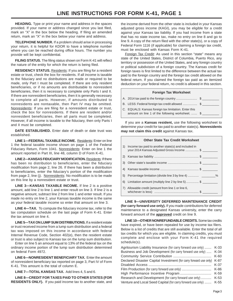**HEADING.** Type or print your name and address in the spaces provided. If your name or address changed since you last filed, mark an "X" in the box below the heading. If filing an amended return, mark an "X" in the box below your name and address.

**TELEPHONE NUMBER.** If a problem should arise in processing your return, it is helpful for KDOR to have a telephone number where you can be reached during office hours. The number you provide will be kept confidential.

**FILING STATUS.** The filing status shown on Form K-41 will reflect the nature of the entity for which the return is being filed.

**RESIDENCY STATUS.** Residents: If you are filing for a resident estate or trust, check the box for residents. If all income is taxable to the fiduciary and no distributions are made or required to be made, only Part I must be completed. If there are only resident beneficiaries, or if no amounts are distributable to nonresident beneficiaries, then it is necessary to complete only Parts I and II. If there are nonresident beneficiaries, then it is generally necessary to complete all parts. However, if amounts distributed to nonresidents are nontaxable, then Part IV may be omitted. Nonresidents: If you are filing for a nonresident estate or trust, check the box for nonresidents. If there are resident and/or nonresident beneficiaries, then all parts must be completed. However, if all income is taxable to the fiduciary, then only Parts I and II must be completed.

**DATE ESTABLISHED.** Enter date of death or date trust was established.

**LINE 1—FEDERAL TAXABLE INCOME.** Residents: Enter on line 1 the federal taxable income shown on page 1 of the Federal Fiduciary Return, Form 1041. Nonresidents: Enter on line 1 the amount reported in Part III, line 48, column D of Form K-41.

**LINE 2—KANSAS FIDUCIARY MODIFICATION.** Residents: If there has been no distribution to beneficiaries, enter the fiduciary modification from page 2, line 26. If there has been a distribution to beneficiaries, enter the fiduciary's portion of the modification from page 2, line (j). Nonresidents: No modification is to be made on this line by a nonresident estate or trust.

**LINE 3—KANSAS TAXABLE INCOME.** If line 2 is a positive amount, add line 2 to line 1 and enter result on line 3. If line 2 is a negative amount, subtract line 2 from line 1 and enter result. If you made no entry on line 2, your Kansas taxable income is the same as your federal taxable income so enter that amount on line 3.

**LINE 4—TAX.** To compute the fiduciary income tax, refer to the tax computation schedule on the last page of Form K-41. Enter the tax amount on line 4.

**LINE 5—TAX ON LUMP SUM DISTRIBUTIONS.** If a resident estate or trust received income from a lump sum distribution and a federal tax was imposed on this income in accordance with federal Internal Revenue Code, Section 402(e), then the resident estate or trust is also subject to Kansas tax on the lump sum distribution.

Enter on line 5 an amount equal to 13% of the federal tax on the ordinary income portion of the lump sum distribution determined on federal Form 4972.

**LINE 6—NONRESIDENT BENEFICIARY TAX.** Enter the amount of nonresident beneficiary tax reported on page 3, Part IV of Form K-41. This amount is the total of column E.

**LINE 7—TOTAL KANSAS TAX.** Add lines 4, 5 and 6.

**LINE 8—CREDIT FOR TAXES PAID TO OTHER STATES (FOR RESIDENTS ONLY).** If you paid income tax to another state, and

the income derived from the other state is included in your Kansas adjusted gross income (KAGI), you may be eligible for a credit against your Kansas tax liability. If you had income from a state that has no state income tax, make no entry on line 8 and go to line 9. A copy of the return filed with the other state(s), or a copy of Federal Form 1116 (if applicable) for claiming a foreign tax credit, must be enclosed with Kansas Form K-41.

Foreign Tax Credit: As used in this section "state" means any state of the United States, District of Columbia, Puerto Rico, any territory or possession of the United States, and any foreign country or political subdivision of a foreign country. The Kansas credit for foreign taxes is first limited to the difference between the actual tax paid to the foreign country and the foreign tax credit allowed on the federal return. If you claimed the foreign tax paid as an itemized deduction on your federal return, no credit is allowed in this section.

|  | Foreign Tax Worksheet |
|--|-----------------------|

| B. LESS: Federal foreign tax credit allowed  \$        |  |
|--------------------------------------------------------|--|
| C. FOUALC, Kanaga fanalsys tau lisaltation. Futer this |  |

| C. EQUALS: Kansas foreign tax limitation. Enter this |  |
|------------------------------------------------------|--|
| amount on line 1 of the following worksheet.  \$     |  |

If you are a **Kansas resident,** use the following worksheet to determine your credit for tax paid to another state(s). **Nonresidents may not claim this credit** against Kansas tax.

|    | <b>Other State Tax Credit Worksheet</b>                                                           |
|----|---------------------------------------------------------------------------------------------------|
| 1) | Income tax paid to another state(s) and included in<br>your 2014 Kansas Adjusted Gross Income  \$ |
| 2) |                                                                                                   |
| 3) |                                                                                                   |
| 4) |                                                                                                   |
| 5) |                                                                                                   |
| 6) | Limitation amount (multiply line 2 by line 5)  \$                                                 |
| 7) | Allowable credit (amount from line 1 or line 6,                                                   |

**LINE 9—UNIVERSITY DEFERRED MAINTENANCE CREDIT (for carry forward use only).** If you made contributions for deferred maintenance to a designated Kansas university, enter the carry forward amount of the **approved** credit on line 9.

**LINE 10—OTHER NONREFUNDABLE CREDITS.** Some tax credits have expired, or have been repealed for use by income tax filers. Below is a list of credits that are still available. Enter the total of all tax credits for which you are eligible. In claiming credits, you must complete and enclose with your Form K-41 the required schedule(s).

| Agritourism Liability Insurance (for carry forward use only)      | $K-33$ |
|-------------------------------------------------------------------|--------|
| Business and Job Development (for carry forward use only)         | $K-34$ |
|                                                                   | $K-60$ |
| Declared Disaster Capital Investment (for carry forward use only) | K-87   |
|                                                                   | $K-37$ |
|                                                                   | K-86   |
|                                                                   | K-59   |
| Research and Development (for carry forward use only)             | $K-53$ |
| Venture and Local Seed Capital (for carry forward use only)       | K-55   |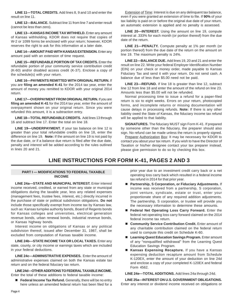**LINE 11—TOTAL CREDITS.** Add lines 8, 9 and 10 and enter the result on line 11.

**LINE 12—BALANCE.** Subtract line 11 from line 7 and enter result (cannot be less than zero).

**LINE 13—KANSAS INCOME TAX WITHHELD.** Enter any amount of Kansas withholding. KDOR does not require that copies of W-2 or 1099 forms be enclosed with your return; however, KDOR reserves the right to ask for this information at a later date.

**LINE 14—AMOUNT PAID WITH KANSAS EXTENSION.** Enter any amount paid with an extension of time request.

**LINE 15—REFUNDABLE PORTION OF TAX CREDITS.** Enter the refundable portion of your community service contribution credit (K-60) and/or disabled access credit (K-37). Enclose a copy of the schedule(s) with your return.

**LINE 16—PAYMENTS REMITTED WITH ORIGINAL RETURN.** If you are **filing an amended K-41** for the 2014 tax year, enter the amount of money you remitted to KDOR with your original 2014 return.

**LINE 17—OVERPAYMENT FROM ORIGINAL RETURN.** If you are **filing an amended K-41** for the 2014 tax year, enter the amount of overpayment shown on your original return. Since you were refunded this amount, it is a subtraction entry.

**LINE 18—TOTAL REFUNDABLE CREDITS.** Add lines 13 through 16 and subtract line 17. Enter the total on line 18.

**LINE 19—UNDERPAYMENT.** If your tax balance on line 12 is greater than your total refundable credits on line 18, enter the difference on line 19. **Note:** If the amount on line 19 is not paid by the due date, or if a balance due return is filed after the due date, penalty and interest will be added according to the rules outlined in lines 20 and 21.

Extension of Time: Interest is due on any delinquent tax balance, even if you were granted an extension of time to file. If **90%** of your tax liability is paid on or before the original due date of your return, an automatic extension is applied and no penalty is assessed.

**LINE 20—INTEREST.** Using the amount on line 19, compute interest at .333% for each month (or portion thereof) from the due date of the return.

**LINE 21—PENALTY.** Compute penalty at 1% per month (or portion thereof) from the due date of the return on the amount on line 19. The maximum penalty is 24%.

**LINE 22—BALANCE DUE.** Add lines 19, 20 and 21 and enter the result on line 22. Write your federal Employer Identification Number (EIN) on your check or money order, made payable to Kansas Fiduciary Tax and send it with your return. Do not send cash. A balance due of less than \$5.00 need not be paid.

**LINE 23—REFUND.** If line 18 is greater than line 12, subtract line 12 from line 18 and enter the amount of the refund on line 23. Amounts less than \$5.00 will not be refunded.

Normal processing time to issue a refund for a paper-filed return is six to eight weeks. Errors on your return, photocopied forms, and incomplete returns or missing documentation will cause delays in processing refunds. **Note:** If there is any other liability owed the State of Kansas, the fiduciary income tax refund will be applied to that liability.

**SIGNATURES.** The fiduciary MUST sign Form K-41. If prepared by someone other than the fiduciary, the preparer should also sign. No refund can be made unless the return is properly signed.

Preparer Authorization Box: It may be necessary for KDOR to contact you about your tax return. If you wish to have the Director of Taxation or his/her designee contact your tax preparer instead, please give permission to do so by checking this box.

### **LINE INSTRUCTIONS FOR FORM K-41, PAGES 2 AND 3**

#### **PART I — MODIFICATIONS TO FEDERAL TAXABLE INCOME**

**LINE 24a—STATE AND MUNICIPAL INTEREST.** Enter interest income received, credited, or earned from any state or municipal obligations during the taxable year, less any related expenses (management fees, trustee fees, interest, etc.) directly incurred in the purchase of state or political subdivision obligations. **Do not**  include those specifically exempt from income tax by Kansas law, such as: Kansas turnpike authority bonds, Board of Regents bonds for Kansas colleges and universities, electrical generation revenue bonds, urban renewal bonds, industrial revenue bonds, or Kansas highway bonds.

Interest income on obligations of Kansas or any political subdivision thereof, issued after December 31, 1987, shall be excluded from computation of Kansas taxable income.

**LINE 24b—STATE INCOME TAX OR LOCAL TAXES.** Enter any state, county, or city income or earnings taxes which are included in your federal deductions.

**LINE 24c—ADMINISTRATIVE EXPENSES.** Enter the amount of administrative expenses claimed on both the Kansas estate tax return and on the federal fiduciary tax return.

**LINE 24d—OTHER ADDITIONS TO FEDERAL TAXABLE INCOME.**  Enter the total of these additions to federal taxable income:

**Federal Income Tax Refund.** Generally, there will be no entry here unless an amended federal return has been filed for a prior year due to an investment credit carry back or a net operating loss carry back which resulted in a federal income tax refund in 2014 for that prior year.

- **Partnership, S Corporation, or Fiduciary Adjustments.** If income was received from a partnership, S corporation, joint venture, syndicate, estate or trust, enter your proportionate share of any required addition adjustments. The partnership, S corporation, or trustee will provide you the necessary information to determine these amounts.
- **Federal Net Operating Loss Carry Forward.** Enter the federal net operating loss carry forward claimed on the 2014 federal income tax return.
- **Community Service Contribution Credit.** Enter amount of any charitable contribution claimed on the federal return used to compute this credit on Schedule K-60.
- Learning Quest Education Savings Program. Enter amount of any "nonqualified withdrawal" from the Learning Quest Education Savings Program.
- **Kansas Expensing Recapture.** If you have a Kansas expensing deduction recapture amount from Schedule K-120EX, enter the amount of your deduction on line 24d and enclose a copy of your completed K-120EX and federal Form 4562.

**LINE 24e—TOTAL ADDITIONS.** Add lines 24a through 24d.

**LINE 25a—INTEREST ON U.S. GOVERNMENT OBLIGATIONS.**  Enter any interest or dividend income received on obligations or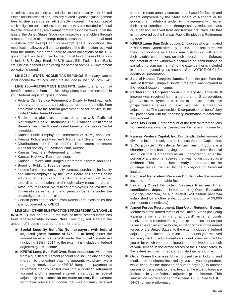securities of any authority, commission, or instrumentality of the United States and its possessions, less any related expenses (management fees, trustee fees, interest, etc.) directly incurred in the purchase of such obligations or securities, to the extent they are included in federal taxable income if they are exempt from state income taxes under the laws of the United States. Such income paid to shareholders through a mutual fund is also exempt from Kansas tax. If the mutual fund invests in both exempt and non-exempt federal obligations, the modification allowed will be that portion of the distribution received from the mutual fund attributable to direct obligations of the U.S. government, as determined by the mutual fund. These obligations include: U.S. Savings Bonds, U.S. Treasury Bills, Federal Land Bank, etc. Enclose a schedule indicating the name of each U.S. Government obligation claimed.

LINE 25b-STATE INCOME TAX REFUNDS. Enter any state or local income tax refunds which are included in line 1 of Form K-41.

**LINE 25c—RETIREMENT BENEFITS.** Enter total amount of benefits received from the following plans that are included in your federal adjusted gross income.

- Federal Civil Service Retirement or Disability Fund payments and any other amounts received as retirement benefits from employment by the federal government or for service in the United States Armed Forces
- Retirement plans administered by the U.S. Railroad Retirement Board, including U.S. Railroad Retirement Benefits, tier I, tier II, dual vested benefits, and supplemental annuities
- Kansas Public Employees' Retirement (KPERS) annuities
- Kansas Police and Firemen's Retirement System pensions
- Distributions from Police and Fire Department retirement plans for the city of Overland Park, Kansas
- Kansas Teachers' Retirement annuities
- Kansas Highway Patrol pensions
- Kansas Justices and Judges Retirement System annuities
- Board of Public Utilities pensions
- Income from retirement annuity contracts purchased for faculty and others employed by the State Board of Regents or by educational institutions under its management with either their direct contributions or through salary reduction plans
- Amounts received by retired employees of Washburn University as retirement and pension benefits under the university's retirement plan
- Certain pensions received from Kansas first class cities that are not covered by KPERS

#### **LINE 25d—OTHER SUBTRACTIONS FROM FEDERAL TAXABLE**

**INCOME.** Enter on line 25d the total of these other subtractions from federal taxable income. **Note:** You may not subtract the amount of income reported to another state.

- Social Security Benefits (for taxpayers with federal **adjusted gross income of \$75,000 or less).** Enter the amount received as benefits under the Social Security Act (including SSI) in 2014, to the extent it is included in federal adjusted gross income.
- **KPERS Lump Sum Roll Over.** Enter the amounts withdrawn from a qualified retirement account and include any earnings thereon to the extent that the amounts withdrawn were originally received as a KPERS lump sum payment at retirement that you rolled over into a qualified retirement account and the amount entered is included in federal adjusted gross income. **Do not make an entry** if the amount withdrawn consists of income that was originally received

from retirement annuity contracts purchased for faculty and others employed by the State Board of Regents or by educational institutions under its management with either their direct contributions or through salary reduction plans or, a pension received from any Kansas first class city that is not covered by the Kansas Public Employee's Retirement System.

- KPERS Lump Sum Distribution. Employees who terminated KPERS employment after July 1, 1984, and elect to receive their contributions in a lump sum distribution will report their taxable contributions on their federal return. Subtract the amount of the withdrawn accumulated contributions or partial lump-sum payment(s) to the extent either is included in federal adjusted gross income. See NOTICE 05-04 for additional information.
- **Sale of Kansas Turnpike Bonds.** Enter the gain from the sale of Kansas Turnpike Bonds if the gain was included in the federal taxable income.
- **Partnership, S Corporation or Fiduciary Adjustments.** If income was received from a partnership, S corporation, joint venture, syndicate, trust or estate, enter the proportionate share of any required subtraction adjustments. The partnership, S corporation, or beneficiary will provide you with the necessary information to determine this amount.
- **Jobs Tax Credit.** Enter amount of the federal targeted jobs tax credit disallowance claimed on the federal income tax return.
- **Kansas Venture Capital, Inc. Dividends.** Enter amount of dividend income received from Kansas Venture Capital, Inc.
- **S Corporation Privilege Adjustment.** If you are a shareholder in a bank, savings and loan, or other financial institution that is organized as an S corporation, enter the portion of any income received that was not distributed as a dividend. This income has already been taxed on the privilege tax return filed by the S corporation financial institution.
- **Electrical Generation Revenue Bonds.** Enter the amount included in federal taxable income.
- **Learning Quest Education Savings Program.** Enter contributions deposited in the Learning Quest Education Savings Program, or a qualified 529 tuition program established by another state, up to a maximum of \$3,000 per student (beneficiary).
- Е **Armed Forces Recruitment, Sign-Up or Retention Bonus.**  Members of the armed forces of the United States (including Kansas army and air national guard): enter amounts received as a recruitment, sign up or retention bonus you received as an incentive to join, enlist or remain in the armed forces of the United States, to the extent included in federal adjusted gross income. Also include amounts you received for repayment of educational or student loans incurred by you or for which you are obligated, and received as a result of your service in the armed forces of the United States, to the extent included in federal adjusted gross income.
- **Organ Donor Expenses.** Unreimbursed travel, lodging, and medical expenditures incurred by you or your dependent, while living, for the donation of human organ(s) to another person for transplant; to the extent that the expenditures are included in your federal adjusted gross income. This subtraction modification cannot exceed \$5,000. See NOTICE 14-03 for more information.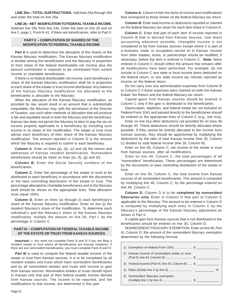**LINE 25e—TOTAL SUBTRACTIONS.** Add lines 25a through 25d and enter the total on line 25e.

**LINE 26—NET MODIFICATION TO FEDERAL TAXABLE INCOME.**  Subtract line 25e from line 24e. Enter the total on line 26 and on line 2, page 1, Form K-41. If there are beneficiaries, refer to Part II.

#### **PART II – COMPUTATION OF SHARES OF THE MODIFICATION TO FEDERAL TAXABLE INCOME**

**Part II** is used to determine the allocation of the shares of the Kansas fiduciary modification. The Kansas fiduciary modification is divided among the beneficiaries and the fiduciary in proportion to their share of the federal distributable net income plus the amount contributed or required to be contributed from current income to charitable beneficiaries.

If there is no federal distributable net income, each beneficiary's share of the Kansas fiduciary modification shall be in proportion to each share of the estate or trust income distributed. Any balance of the Kansas fiduciary modification not allocated to the beneficiaries is allocable to the fiduciary.

When the allocation of the Kansas fiduciary modification, as provided by law, would result in an amount that is substantially inequitable, the fiduciary may, with the permission of the Director of Taxation, use such other methods of allocation that will produce a fair and equitable result to both the fiduciary and the beneficiary. Kansas law does not permit the fiduciary to elect to pay the tax on income properly applicable to a beneficiary by including such income in its share of the modification. The estate or trust must advise each beneficiary of their share of the Kansas fiduciary modification. The amount reported in Column D is the amount which the fiduciary is required to submit to each beneficiary.

**Column A.** Enter on lines (a), (b), (c) and (d) the names and addresses of Kansas resident beneficiaries. Nonresident beneficiaries should be listed on lines (e), (f), (g) and (h).

**Column B.** Enter the Social Security numbers of the beneficiaries.

**Column C.** Enter the percentage of the estate or trust to be distributed to each beneficiary in accordance with the documents or the laws controlling distribution of the estate or trust. The percentage allocated to charitable beneficiaries and to the fiduciary itself should be shown on the appropriate lines. Total allocation must equal 100%.

**Column D.** Enter on lines (a) through (i) each beneficiary's share of the Kansas fiduciary modification. Enter on line (j) the resident fiduciary's share of the modification. To determine each individual's and the fiduciary's share of the Kansas fiduciary modification, multiply the amount on line 26, Part I, by the percentage in Column C.

#### **PART III – COMPUTATION OF FEDERAL TAXABLE INCOME OF THE ESTATE OR TRUST FROM KANSAS SOURCES**

**Important —** You need not complete Parts III and IV if you are filing a resident estate or trust where all beneficiaries are Kansas residents. If there are any nonresident beneficiaries, you must complete Parts III and IV.

**Part III** is used to compute the federal taxable income of the estate or trust from Kansas sources. It is to be completed by all resident estates and trusts which have nonresident beneficiaries and by all nonresident estates and trusts with income or gain from Kansas sources. Nonresident estates or trusts should report to Kansas only that part of their federal taxable income derived from Kansas sources. The income to be reported, and the modifications to that income, are determined in this part.

**Column A.** Column A lists the items of income and modifications that correspond to those shown on the federal fiduciary tax return.

**Column B.** Enter total income or deductions reported or claimed on the federal fiduciary tax return for each item listed in Column A.

**Column C.** Enter that part of each item of income reported in Column B that is derived from Kansas sources. Use direct accounting whenever possible. Intangible income is not considered to be from Kansas sources except where it is part of a business, trade, or occupation carried on in Kansas. Income from other estates, trusts, or partnerships should be modified, if necessary, before the item is entered in Column C. **Note:** Items entered in Column C should reflect the amount that remains after all modifications have been performed. For example, do not include in Column C any state or local income taxes deducted on the federal return; or any state income tax refunds reported as income on the federal return.

Do not carry over any administration expenses from Column B to Column C if these expenses were claimed on both the Kansas Estate Tax Return and the federal fiduciary tax return.

Capital gains from Kansas sources should be entered in Column C only if the gain is distributed to the beneficiaries.

Depreciation, depletion, and federal estate tax not included on Federal Form 1041 and passed directly to the beneficiaries should be entered on the appropriate lines of Column C (e.g., line 41a).

Enter on line 41a other deductions not provided for on lines 36 through 40. These deductions should be directly allocated where possible. If they cannot be directly allocated to the income from Kansas sources, they should be apportioned by multiplying the deductions by the ratio of total Kansas income (line 35, Column C) divided by total federal income (line 35, Column B).

Enter on line 48, Column C, net income of the estate or trust from Kansas sources, after all modifications.

Enter on line 49, Column C, the total percentages of all "nonresident" beneficiaries. These percentages are determined by the documents or laws controlling distribution of the estate or trust.

Enter on line 50, Column C, the total income from Kansas sources of all nonresident beneficiaries. This amount is computed by multiplying line 48, Column C, by the percentage entered on line 49, Column C.

**Column D.** Column D is to be **completed by nonresident fiduciaries only.** Enter in Column D that part of Column C applicable to the fiduciary. The amount to be entered in Column D is computed by multiplying each entry in Column C by the fiduciary's percentage of the Kansas fiduciary adjustment as shown in Part II.

A capital gain from Kansas sources that is not distributed to the beneficiaries should be entered on line 30, Column D.

NONRESIDENT FIDUCIARY EXEMPTION. Enter on line 46, Part III, Column D, the amount of the nonresident fiduciary exemption determined by the following formula:

|    | 1) Exemption on federal Form 1041  \$               |      |
|----|-----------------------------------------------------|------|
|    | Kansas income of nonresident estate or trust.       |      |
|    | 3) Federal income (Part III, line 43, Column B)  \$ |      |
|    |                                                     | $\%$ |
| 5) | Nonresident fiduciary exemption                     |      |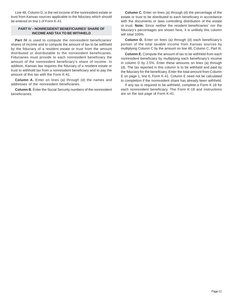Line 48, Column D, is the net income of the nonresident estate or trust from Kansas sources applicable to the fiduciary which should be entered on line 1 of Form K-41.

#### **PART IV – NONRESIDENT BENEFICIARIES' SHARE OF INCOME AND TAX TO BE WITHHELD**

Part IV is used to compute the nonresident beneficiaries' shares of income and to compute the amount of tax to be withheld by the fiduciary of a resident estate or trust from the amount distributed or distributable to the nonresident beneficiaries. Fiduciaries must provide to each nonresident beneficiary the amount of the nonresident beneficiary's share of income. In addition, Kansas law requires the fiduciary of a resident estate or trust to withhold tax from a nonresident beneficiary and to pay the amount of this tax with the Form K-41.

**Column A.** Enter on lines (a) through (d) the names and addresses of the nonresident beneficiaries.

**Column B.** Enter the Social Security numbers of the nonresident beneficiaries.

**Column C.** Enter on lines (a) through (d) the percentage of the estate or trust to be distributed to each beneficiary in accordance with the documents or laws controlling distribution of the estate or trust. **Note:** Since neither the resident beneficiaries' nor the fiduciary's percentages are shown here, it is unlikely this column will total 100%.

**Column D.** Enter on lines (a) through (d) each beneficiary's portion of the total taxable income from Kansas sources by multiplying Column C by the amount on line 48, Column C, Part III.

**Column E.** Compute the amount of tax to be withheld from each nonresident beneficiary by multiplying each beneficiary's income in column D by 2.5%. Enter these amounts on lines (a) through (d). The tax reported in this column is to be withheld and paid by the fiduciary for the beneficiary. Enter the total amount from Column E on page 1, line 6, Form K-41. Column E need not be calculated to completion if the nonresident share has already been withheld.

If any tax is required to be withheld, complete a Form K-18 for each nonresident beneficiary. The Form K-18 and instructions are on the last page of Form K-41.